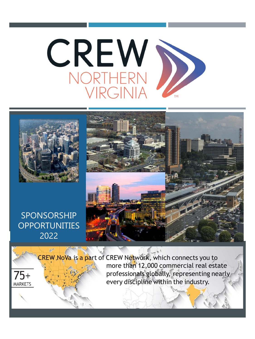



CREW NoVa is a part of CREW Network, which connects you to more than 12,000 commercial real estate professionals globally, representing nearly 75+ every discipline within the industry.**MARKETS**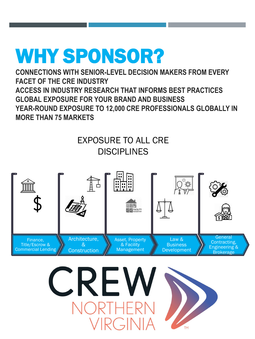## WHY SPONSOR?

**CONNECTIONS WITH SENIOR-LEVEL DECISION MAKERS FROM EVERY FACET OF THE CRE INDUSTRY ACCESS IN INDUSTRY RESEARCH THAT INFORMS BEST PRACTICES GLOBAL EXPOSURE FOR YOUR BRAND AND BUSINESS YEAR-ROUND EXPOSURE TO 12,000 CRE PROFESSIONALS GLOBALLY IN MORE THAN 75 MARKETS**

## EXPOSURE TO ALL CRE **DISCIPLINES**



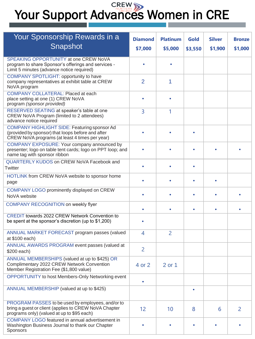# Your Support Advances Women in CRE

| Your Sponsorship Rewards in a                                                                                                                            | <b>Diamond</b> | <b>Platinum</b> | Gold    | <b>Silver</b> | <b>Bronze</b>  |
|----------------------------------------------------------------------------------------------------------------------------------------------------------|----------------|-----------------|---------|---------------|----------------|
| Snapshot                                                                                                                                                 |                |                 |         |               |                |
|                                                                                                                                                          | \$7,000        | \$5,000         | \$3,550 | \$1,900       | \$1,000        |
| SPEAKING OPPORTUNITY at one CREW NoVA<br>program to share Sponsor's offerings and services -<br>Limit 5 minutes (advance notice required)                |                |                 |         |               |                |
| COMPANY SPOTLIGHT: opportunity to have<br>company representatives at exhibit table at CREW<br>NoVA program                                               | $\overline{2}$ | 1               |         |               |                |
| <b>COMPANY COLLATERAL: Placed at each</b><br>place setting at one (1) CREW NoVA<br>program (sponsor provided)                                            |                |                 |         |               |                |
| RESERVED SEATING at speaker's table at one<br>CREW NoVA Program (limited to 2 attendees)<br>advance notice required                                      | 3              | 1               |         |               |                |
| COMPANY HIGHLIGHT SIDE: Featuring sponsor Ad<br>(provided by sponsor) that loops before and after<br>CREW NoVA programs (at least 4 times per year)      |                |                 |         |               |                |
| COMPANY EXPOSURE: Your company announced by<br>presenter; logo on table tent cards; logo on PPT loop; and<br>name tag with sponsor ribbon                |                |                 |         |               |                |
| QUARTERLY KUDOS on CREW NoVA Facebook and<br>Twitter                                                                                                     |                |                 |         |               |                |
| HOTLINK from CREW NoVA website to sponsor home<br>page                                                                                                   |                |                 |         |               |                |
| COMPANY LOGO prominently displayed on CREW<br>NoVA website                                                                                               |                |                 |         |               |                |
| COMPANY RECOGNITION on weekly flyer                                                                                                                      |                |                 |         |               |                |
| <b>CREDIT towards 2022 CREW Network Convention to</b><br>be spent at the sponsor's discretion (up to \$1,200)                                            |                |                 |         |               |                |
| ANNUAL MARKET FORECAST program passes (valued<br>at \$100 each)                                                                                          | 4              | $\overline{2}$  |         |               |                |
| ANNUAL AWARDS PROGRAM event passes (valued at<br>\$200 each)                                                                                             | $\overline{2}$ |                 |         |               |                |
| ANNUAL MEMBERSHIPS (valued at up to \$425) OR<br>Complimentary 2022 CREW Network Convention<br>Member Registration Fee (\$1,800 value)                   | 4 or 2         | 2 or 1          |         |               |                |
| OPPORTUNITY to host Members-Only Networking event                                                                                                        | ٠              |                 |         |               |                |
| ANNUAL MEMBERSHIP (valued at up to \$425)                                                                                                                |                |                 | ٠       |               |                |
| PROGRAM PASSES to be used by employees, and/or to<br>bring a guest or client (applies to CREW NoVA Chapter<br>programs only) (valued at up to \$95 each) | 12             | 10              | 8       | 6             | $\overline{2}$ |
| COMPANY LOGO featured in annual advertisement in<br>Washington Business Journal to thank our Chapter<br>Sponsors                                         |                |                 | ٠       |               |                |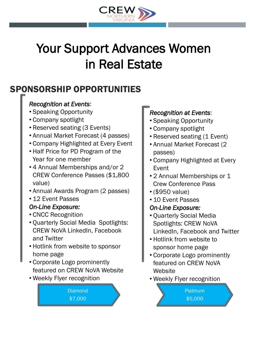

## Your Support Advances Women in Real Estate

## SPONSORSHIP OPPORTUNITIES

## *Recognition at Events*:

- Speaking Opportunity
- Company spotlight
- Reserved seating (3 Events)
- Annual Market Forecast (4 passes)
- Company Highlighted at Every Event
- Half Price for PD Program of the Year for one member
- 4 Annual Memberships and/or 2 CREW Conference Passes (\$1,800 value)
- Annual Awards Program (2 passes)
- 12 Event Passes

## *On-Line Exposure:*

- CNCC Recognition
- Quarterly Social Media Spotlights: CREW NoVA LinkedIn, Facebook and Twitter
- Hotlink from website to sponsor home page
- Corporate Logo prominently featured on CREW NoVA Website
- Weekly Flyer recognition

#### **Diamond** \$7,000

## *Recognition at Events*:

- Speaking Opportunity
- Company spotlight
- Reserved seating (1 Event)
- Annual Market Forecast (2 passes)
- Company Highlighted at Every Event
- 2 Annual Memberships or 1 Crew Conference Pass
- (\$950 value)
- 10 Event Passes

## *On-Line Exposure:*

- Quarterly Social Media Spotlights: CREW NoVA LinkedIn, Facebook and Twitter
- Hotlink from website to sponsor home page
- Corporate Logo prominently featured on CREW NoVA **Website**
- Weekly Flyer recognition

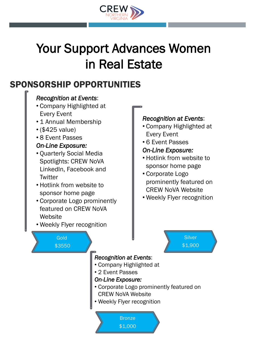

## Your Support Advances Women in Real Estate

## SPONSORSHIP OPPORTUNITIES

## *Recognition at Events*:

- Company Highlighted at Every Event
- 1 Annual Membership
- (\$425 value)
- 8 Event Passes

#### *On-Line Exposure:*

- Quarterly Social Media Spotlights: CREW NoVA LinkedIn, Facebook and **Twitter**
- Hotlink from website to sponsor home page
- Corporate Logo prominently featured on CREW NoVA **Website**
- Weekly Flyer recognition

#### *Recognition at Events*:

- Company Highlighted at Every Event
- 6 Event Passes

#### *On-Line Exposure:*

- Hotlink from website to sponsor home page
- Corporate Logo prominently featured on CREW NoVA Website
- Weekly Flyer recognition

Gold \$3550

## *Recognition at Events*:

- Company Highlighted at
- 2 Event Passes

#### *On-Line Exposure:*

- Corporate Logo prominently featured on CREW NoVA Website
- Weekly Flyer recognition

**Bronze** \$1,000

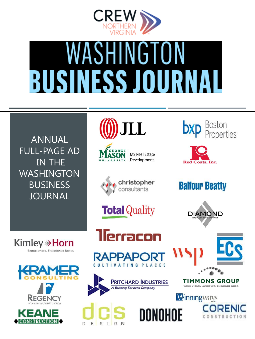

# WASHINGTON **BUSINESS JOURN**

ANNUAL FULL-PAGE AD IN THE WASHINGTON BUSINESS JOURNAL





**MS Real Estate** Development







**Red Coats, Inc.** 

**Balfour Beatty** 



**Kimley**<sup>></sup>Horn Expect More. Experience Better.



















TIMMONS GROUP YOUR VISION ACHIEVED THROUGH OURS.